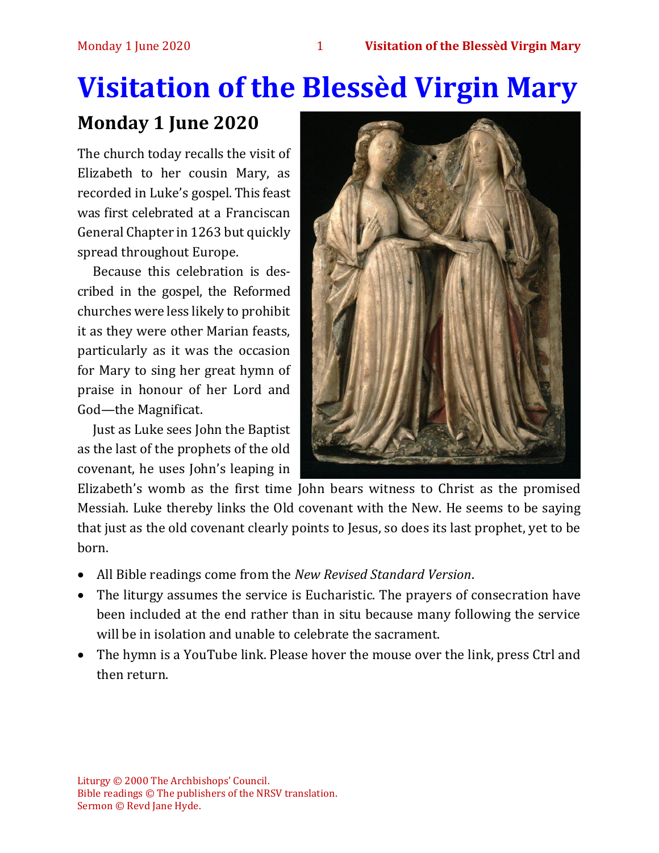# **Visitation of the Blessèd Virgin Mary Monday 1 June 2020**

The church today recalls the visit of Elizabeth to her cousin Mary, as recorded in Luke's gospel. This feast was first celebrated at a Franciscan General Chapter in 1263 but quickly spread throughout Europe.

Because this celebration is described in the gospel, the Reformed churches were less likely to prohibit it as they were other Marian feasts, particularly as it was the occasion for Mary to sing her great hymn of praise in honour of her Lord and God—the Magnificat.

Just as Luke sees John the Baptist as the last of the prophets of the old covenant, he uses John's leaping in



Elizabeth's womb as the first time John bears witness to Christ as the promised Messiah. Luke thereby links the Old covenant with the New. He seems to be saying that just as the old covenant clearly points to Jesus, so does its last prophet, yet to be born.

- All Bible readings come from the *New Revised Standard Version*.
- The liturgy assumes the service is Eucharistic. The prayers of consecration have been included at the end rather than in situ because many following the service will be in isolation and unable to celebrate the sacrament.
- The hymn is a YouTube link. Please hover the mouse over the link, press Ctrl and then return.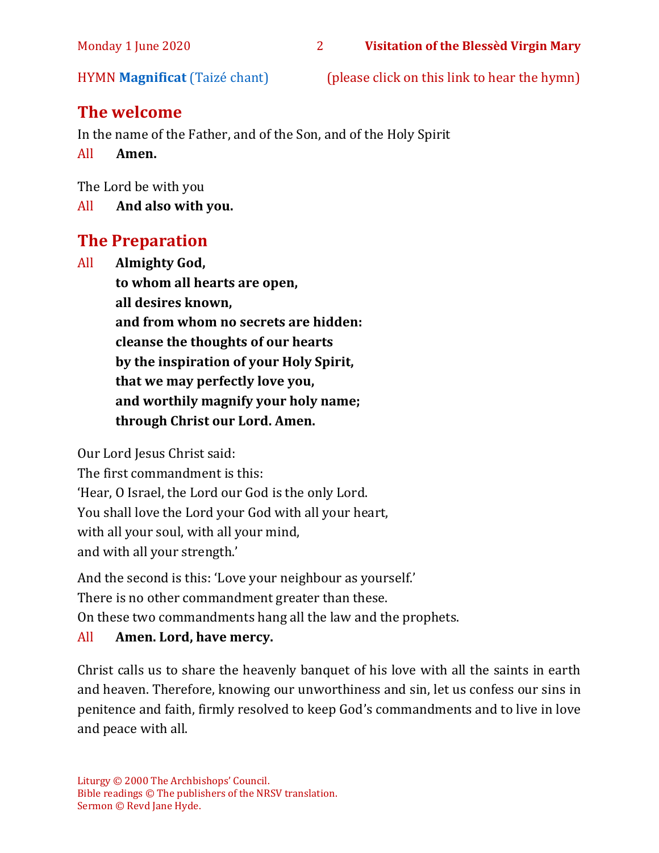#### Monday 1 June 2020 2 **Visitation of the Blessèd Virgin Mary**

HYMN **[Magnificat](https://www.youtube.com/watch?v=SEeLzj8Jzyg)** (Taizé chant) (please click on this link to hear the hymn)

# **The welcome**

In the name of the Father, and of the Son, and of the Holy Spirit

All **Amen.**

The Lord be with you

All **And also with you.**

# **The Preparation**

All **Almighty God, to whom all hearts are open, all desires known, and from whom no secrets are hidden: cleanse the thoughts of our hearts by the inspiration of your Holy Spirit, that we may perfectly love you, and worthily magnify your holy name; through Christ our Lord. Amen.**

Our Lord Jesus Christ said:

The first commandment is this: 'Hear, O Israel, the Lord our God is the only Lord. You shall love the Lord your God with all your heart, with all your soul, with all your mind, and with all your strength.'

And the second is this: 'Love your neighbour as yourself.'

There is no other commandment greater than these.

On these two commandments hang all the law and the prophets.

#### All **Amen. Lord, have mercy.**

Christ calls us to share the heavenly banquet of his love with all the saints in earth and heaven. Therefore, knowing our unworthiness and sin, let us confess our sins in penitence and faith, firmly resolved to keep God's commandments and to live in love and peace with all.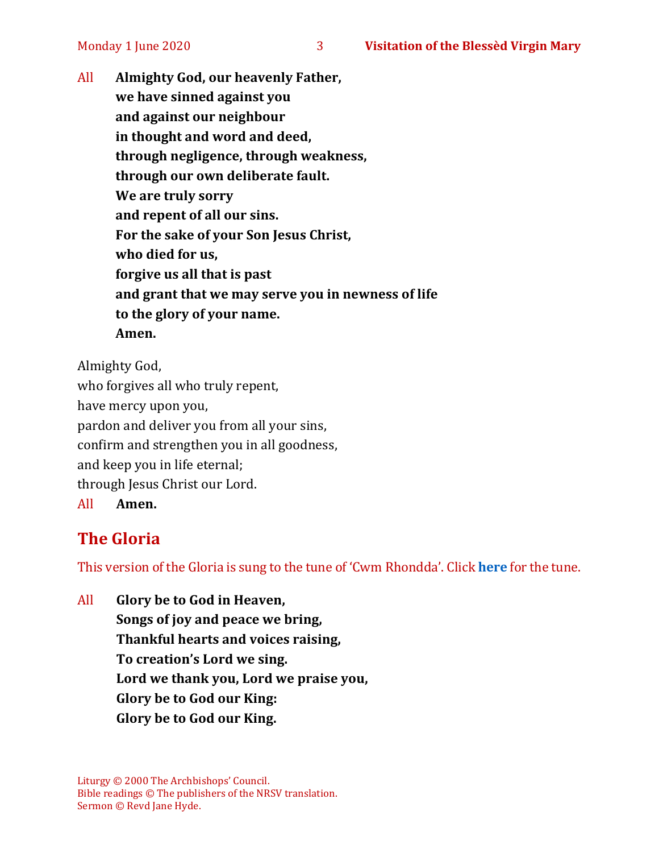All **Almighty God, our heavenly Father, we have sinned against you and against our neighbour in thought and word and deed, through negligence, through weakness, through our own deliberate fault. We are truly sorry and repent of all our sins. For the sake of your Son Jesus Christ, who died for us, forgive us all that is past and grant that we may serve you in newness of life to the glory of your name. Amen.**

Almighty God, who forgives all who truly repent, have mercy upon you, pardon and deliver you from all your sins, confirm and strengthen you in all goodness, and keep you in life eternal; through Jesus Christ our Lord.

All **Amen.**

# **The Gloria**

This version of the Gloria is sung to the tune of 'Cwm Rhondda'. Click **[here](https://www.youtube.com/watch?v=BtGhnEwY74E)** for the tune.

All **Glory be to God in Heaven, Songs of joy and peace we bring, Thankful hearts and voices raising, To creation's Lord we sing. Lord we thank you, Lord we praise you, Glory be to God our King: Glory be to God our King.**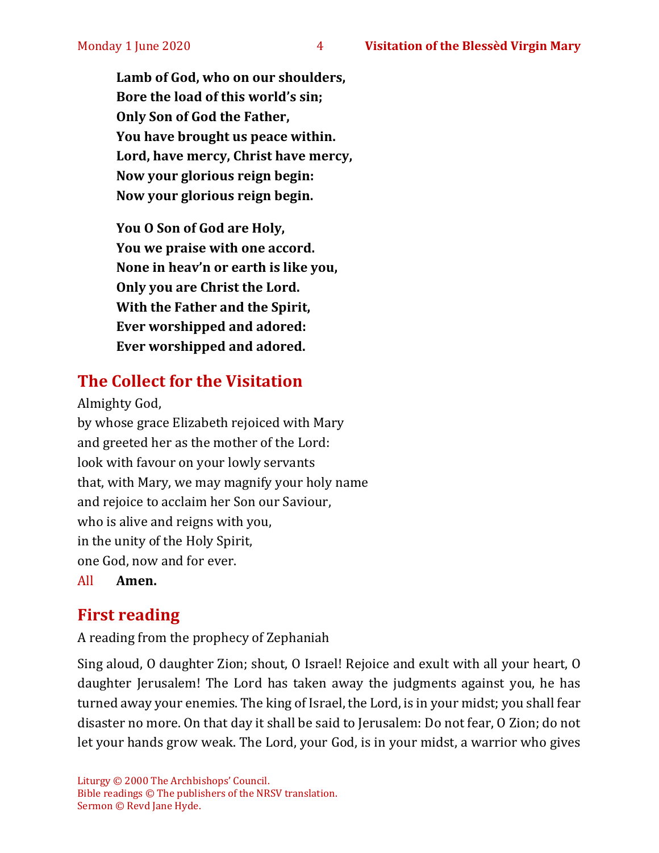**Lamb of God, who on our shoulders, Bore the load of this world's sin; Only Son of God the Father, You have brought us peace within. Lord, have mercy, Christ have mercy, Now your glorious reign begin: Now your glorious reign begin.**

**You O Son of God are Holy, You we praise with one accord. None in heav'n or earth is like you, Only you are Christ the Lord. With the Father and the Spirit, Ever worshipped and adored: Ever worshipped and adored.**

# **The Collect for the Visitation**

Almighty God,

by whose grace Elizabeth rejoiced with Mary and greeted her as the mother of the Lord: look with favour on your lowly servants that, with Mary, we may magnify your holy name and rejoice to acclaim her Son our Saviour, who is alive and reigns with you, in the unity of the Holy Spirit, one God, now and for ever.

All **Amen.**

# **First reading**

A reading from the prophecy of Zephaniah

Sing aloud, O daughter Zion; shout, O Israel! Rejoice and exult with all your heart, O daughter Jerusalem! The Lord has taken away the judgments against you, he has turned away your enemies. The king of Israel, the Lord, is in your midst; you shall fear disaster no more. On that day it shall be said to Jerusalem: Do not fear, O Zion; do not let your hands grow weak. The Lord, your God, is in your midst, a warrior who gives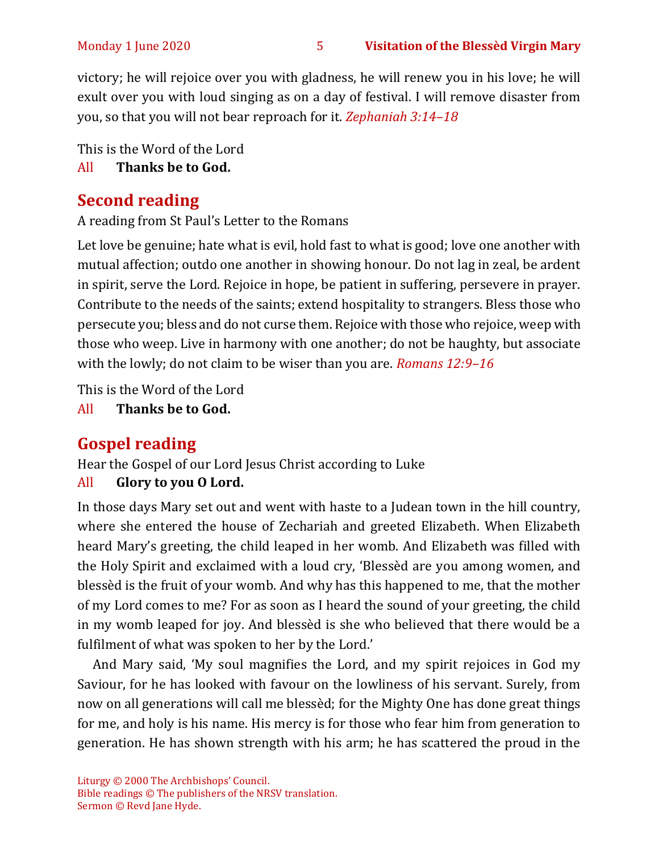victory; he will rejoice over you with gladness, he will renew you in his love; he will exult over you with loud singing as on a day of festival. I will remove disaster from you, so that you will not bear reproach for it. *Zephaniah 3:14–18*

This is the Word of the Lord All **Thanks be to God.**

# **Second reading**

A reading from St Paul's Letter to the Romans

Let love be genuine; hate what is evil, hold fast to what is good; love one another with mutual affection; outdo one another in showing honour. Do not lag in zeal, be ardent in spirit, serve the Lord. Rejoice in hope, be patient in suffering, persevere in prayer. Contribute to the needs of the saints; extend hospitality to strangers. Bless those who persecute you; bless and do not curse them. Rejoice with those who rejoice, weep with those who weep. Live in harmony with one another; do not be haughty, but associate with the lowly; do not claim to be wiser than you are. *Romans 12:9–16*

This is the Word of the Lord

All **Thanks be to God.**

# **Gospel reading**

Hear the Gospel of our Lord Jesus Christ according to Luke

#### All **Glory to you O Lord.**

In those days Mary set out and went with haste to a Judean town in the hill country, where she entered the house of Zechariah and greeted Elizabeth. When Elizabeth heard Mary's greeting, the child leaped in her womb. And Elizabeth was filled with the Holy Spirit and exclaimed with a loud cry, 'Blessèd are you among women, and blessèd is the fruit of your womb. And why has this happened to me, that the mother of my Lord comes to me? For as soon as I heard the sound of your greeting, the child in my womb leaped for joy. And blessèd is she who believed that there would be a fulfilment of what was spoken to her by the Lord.'

And Mary said, 'My soul magnifies the Lord, and my spirit rejoices in God my Saviour, for he has looked with favour on the lowliness of his servant. Surely, from now on all generations will call me blessèd; for the Mighty One has done great things for me, and holy is his name. His mercy is for those who fear him from generation to generation. He has shown strength with his arm; he has scattered the proud in the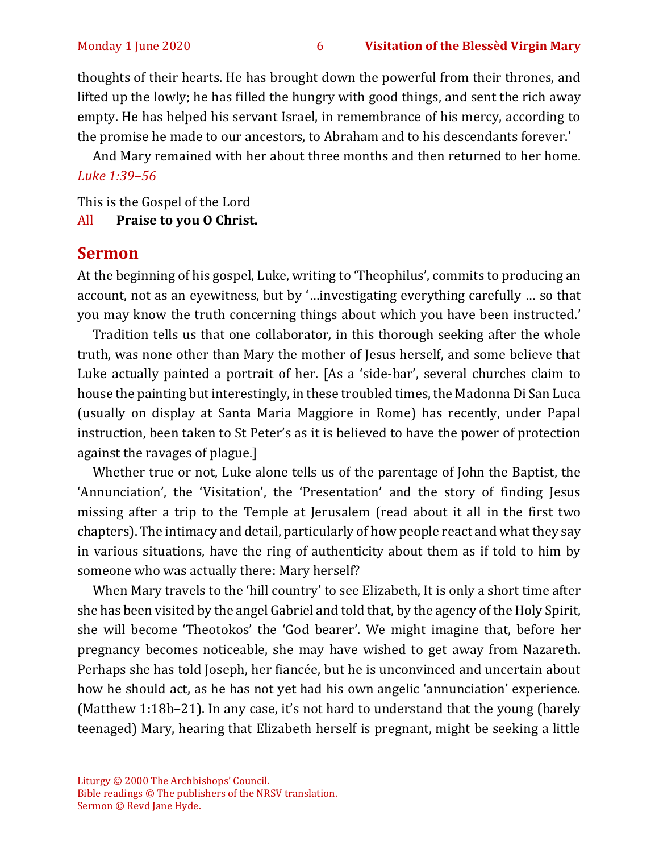Monday 1 June 2020 6 **Visitation of the Blessèd Virgin Mary**

thoughts of their hearts. He has brought down the powerful from their thrones, and lifted up the lowly; he has filled the hungry with good things, and sent the rich away empty. He has helped his servant Israel, in remembrance of his mercy, according to the promise he made to our ancestors, to Abraham and to his descendants forever.'

And Mary remained with her about three months and then returned to her home. *Luke 1:39–56*

This is the Gospel of the Lord

All **Praise to you O Christ.** 

#### **Sermon**

At the beginning of his gospel, Luke, writing to 'Theophilus', commits to producing an account, not as an eyewitness, but by '…investigating everything carefully … so that you may know the truth concerning things about which you have been instructed.'

Tradition tells us that one collaborator, in this thorough seeking after the whole truth, was none other than Mary the mother of Jesus herself, and some believe that Luke actually painted a portrait of her. [As a 'side-bar', several churches claim to house the painting but interestingly, in these troubled times, the Madonna Di San Luca (usually on display at Santa Maria Maggiore in Rome) has recently, under Papal instruction, been taken to St Peter's as it is believed to have the power of protection against the ravages of plague.]

Whether true or not, Luke alone tells us of the parentage of John the Baptist, the 'Annunciation', the 'Visitation', the 'Presentation' and the story of finding Jesus missing after a trip to the Temple at Jerusalem (read about it all in the first two chapters). The intimacy and detail, particularly of how people react and what they say in various situations, have the ring of authenticity about them as if told to him by someone who was actually there: Mary herself?

When Mary travels to the 'hill country' to see Elizabeth, It is only a short time after she has been visited by the angel Gabriel and told that, by the agency of the Holy Spirit, she will become 'Theotokos' the 'God bearer'. We might imagine that, before her pregnancy becomes noticeable, she may have wished to get away from Nazareth. Perhaps she has told Joseph, her fiancée, but he is unconvinced and uncertain about how he should act, as he has not yet had his own angelic 'annunciation' experience. (Matthew 1:18b–21). In any case, it's not hard to understand that the young (barely teenaged) Mary, hearing that Elizabeth herself is pregnant, might be seeking a little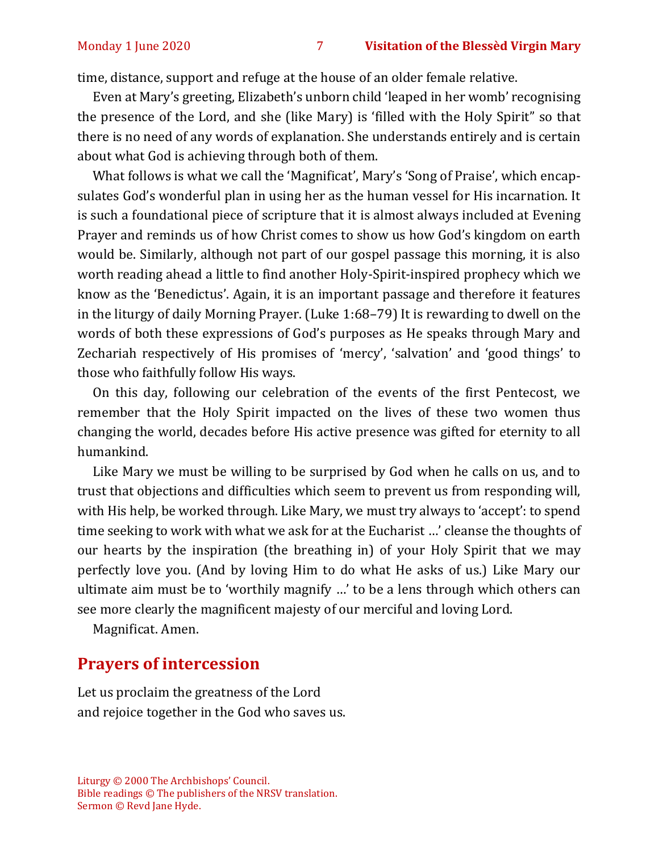time, distance, support and refuge at the house of an older female relative.

Even at Mary's greeting, Elizabeth's unborn child 'leaped in her womb' recognising the presence of the Lord, and she (like Mary) is 'filled with the Holy Spirit" so that there is no need of any words of explanation. She understands entirely and is certain about what God is achieving through both of them.

What follows is what we call the 'Magnificat', Mary's 'Song of Praise', which encapsulates God's wonderful plan in using her as the human vessel for His incarnation. It is such a foundational piece of scripture that it is almost always included at Evening Prayer and reminds us of how Christ comes to show us how God's kingdom on earth would be. Similarly, although not part of our gospel passage this morning, it is also worth reading ahead a little to find another Holy-Spirit-inspired prophecy which we know as the 'Benedictus'. Again, it is an important passage and therefore it features in the liturgy of daily Morning Prayer. (Luke 1:68–79) It is rewarding to dwell on the words of both these expressions of God's purposes as He speaks through Mary and Zechariah respectively of His promises of 'mercy', 'salvation' and 'good things' to those who faithfully follow His ways.

On this day, following our celebration of the events of the first Pentecost, we remember that the Holy Spirit impacted on the lives of these two women thus changing the world, decades before His active presence was gifted for eternity to all humankind.

Like Mary we must be willing to be surprised by God when he calls on us, and to trust that objections and difficulties which seem to prevent us from responding will, with His help, be worked through. Like Mary, we must try always to 'accept': to spend time seeking to work with what we ask for at the Eucharist …' cleanse the thoughts of our hearts by the inspiration (the breathing in) of your Holy Spirit that we may perfectly love you. (And by loving Him to do what He asks of us.) Like Mary our ultimate aim must be to 'worthily magnify …' to be a lens through which others can see more clearly the magnificent majesty of our merciful and loving Lord.

Magnificat. Amen.

#### **Prayers of intercession**

Let us proclaim the greatness of the Lord and rejoice together in the God who saves us.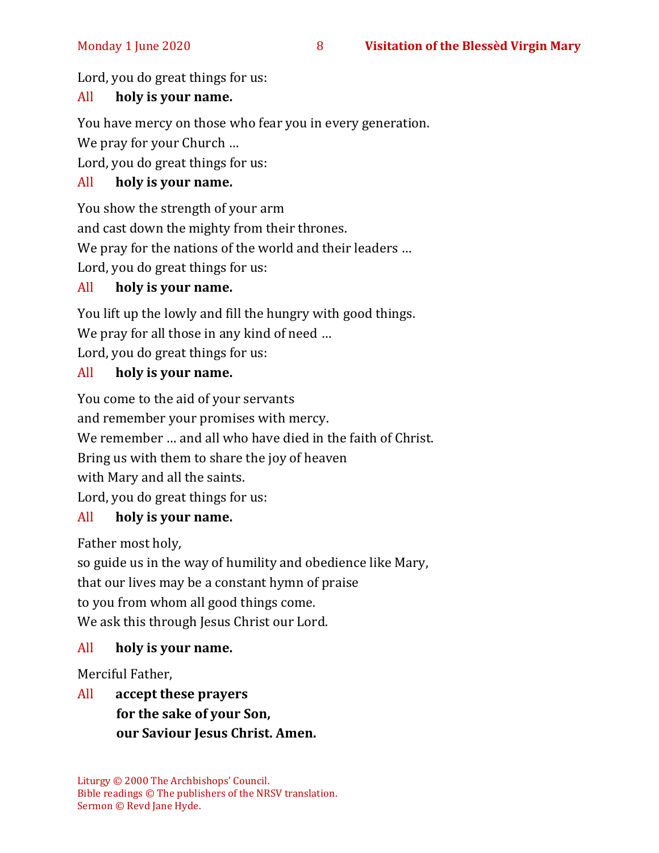Lord, you do great things for us:

#### All **holy is your name.**

You have mercy on those who fear you in every generation.

We pray for your Church …

Lord, you do great things for us:

#### All **holy is your name.**

You show the strength of your arm and cast down the mighty from their thrones. We pray for the nations of the world and their leaders … Lord, you do great things for us:

#### All **holy is your name.**

You lift up the lowly and fill the hungry with good things. We pray for all those in any kind of need ...

Lord, you do great things for us:

#### All **holy is your name.**

You come to the aid of your servants

and remember your promises with mercy.

We remember … and all who have died in the faith of Christ.

Bring us with them to share the joy of heaven

with Mary and all the saints.

Lord, you do great things for us:

#### All **holy is your name.**

Father most holy,

so guide us in the way of humility and obedience like Mary,

that our lives may be a constant hymn of praise

to you from whom all good things come.

We ask this through Jesus Christ our Lord.

#### All **holy is your name.**

Merciful Father,

All **accept these prayers for the sake of your Son, our Saviour Jesus Christ. Amen.**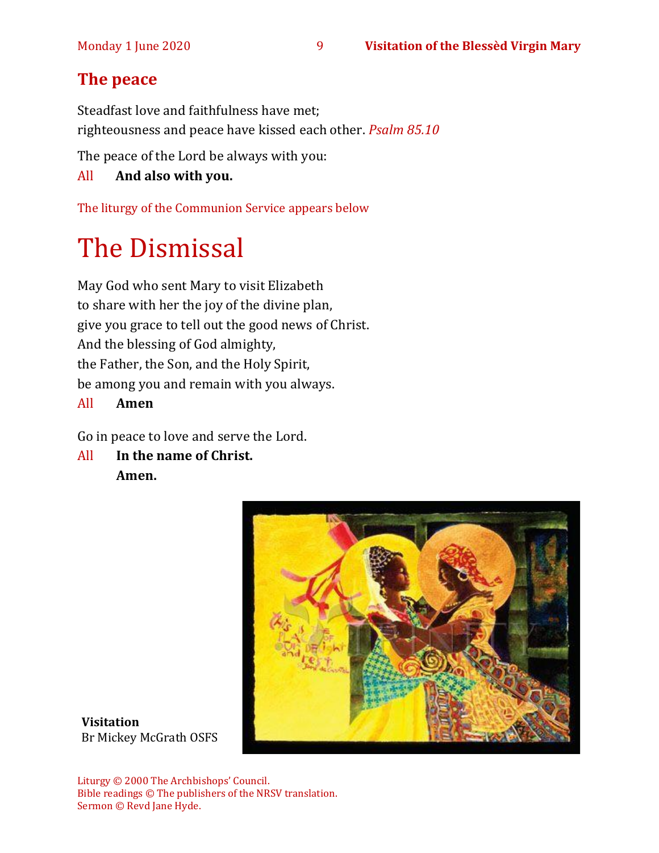#### Monday 1 June 2020 9 **Visitation of the Blessèd Virgin Mary**

# **The peace**

Steadfast love and faithfulness have met; righteousness and peace have kissed each other. *Psalm 85.10*

The peace of the Lord be always with you:

#### All **And also with you.**

The liturgy of the Communion Service appears below

# The Dismissal

May God who sent Mary to visit Elizabeth to share with her the joy of the divine plan, give you grace to tell out the good news of Christ. And the blessing of God almighty, the Father, the Son, and the Holy Spirit, be among you and remain with you always.

#### All **Amen**

Go in peace to love and serve the Lord.

All **In the name of Christ. Amen.**



**Visitation** Br Mickey McGrath OSFS

Liturgy © 2000 The Archbishops' Council. Bible readings © The publishers of the NRSV translation. Sermon © Revd Jane Hyde.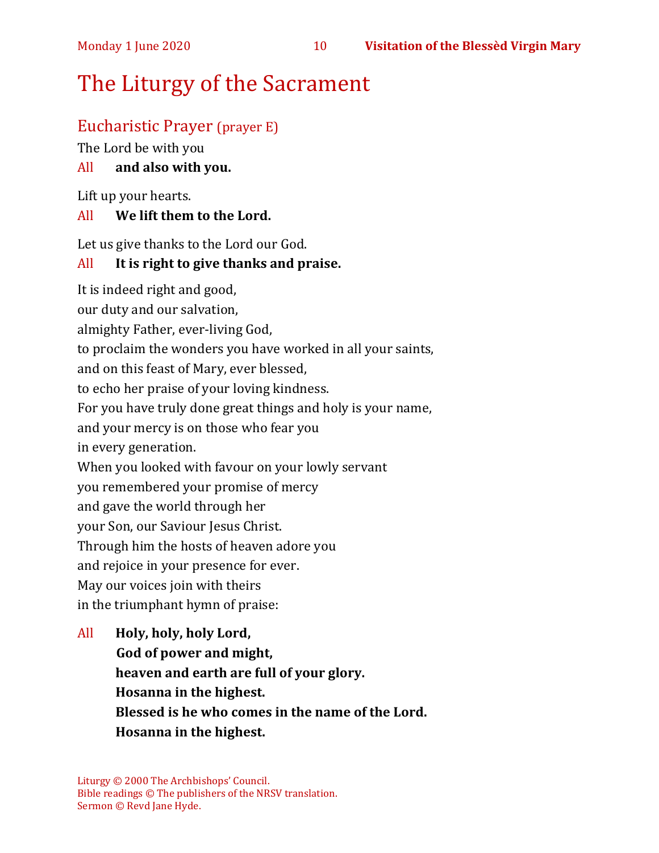# The Liturgy of the Sacrament

# Eucharistic Prayer (prayer E)

The Lord be with you

## All **and also with you.**

Lift up your hearts.

#### All **We lift them to the Lord.**

Let us give thanks to the Lord our God.

## All **It is right to give thanks and praise.**

It is indeed right and good, our duty and our salvation, almighty Father, ever-living God, to proclaim the wonders you have worked in all your saints, and on this feast of Mary, ever blessed, to echo her praise of your loving kindness. For you have truly done great things and holy is your name, and your mercy is on those who fear you in every generation. When you looked with favour on your lowly servant you remembered your promise of mercy and gave the world through her your Son, our Saviour Jesus Christ. Through him the hosts of heaven adore you and rejoice in your presence for ever. May our voices join with theirs in the triumphant hymn of praise:

All **Holy, holy, holy Lord, God of power and might, heaven and earth are full of your glory. Hosanna in the highest. Blessed is he who comes in the name of the Lord. Hosanna in the highest.**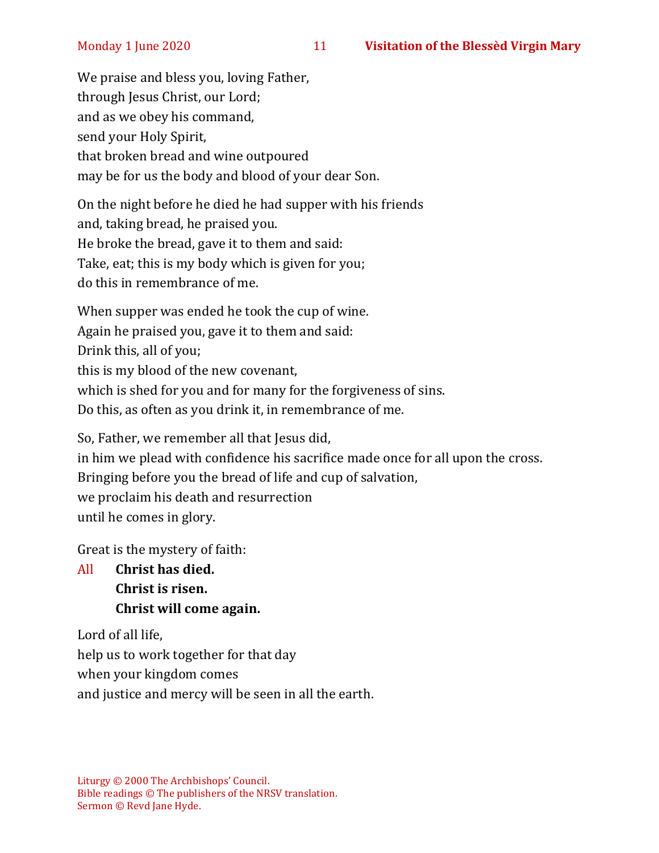We praise and bless you, loving Father, through Jesus Christ, our Lord; and as we obey his command, send your Holy Spirit, that broken bread and wine outpoured may be for us the body and blood of your dear Son.

On the night before he died he had supper with his friends and, taking bread, he praised you. He broke the bread, gave it to them and said: Take, eat; this is my body which is given for you; do this in remembrance of me.

When supper was ended he took the cup of wine. Again he praised you, gave it to them and said: Drink this, all of you; this is my blood of the new covenant, which is shed for you and for many for the forgiveness of sins. Do this, as often as you drink it, in remembrance of me.

So, Father, we remember all that Jesus did, in him we plead with confidence his sacrifice made once for all upon the cross. Bringing before you the bread of life and cup of salvation, we proclaim his death and resurrection until he comes in glory.

Great is the mystery of faith:

All **Christ has died. Christ is risen. Christ will come again.**

Lord of all life, help us to work together for that day when your kingdom comes and justice and mercy will be seen in all the earth.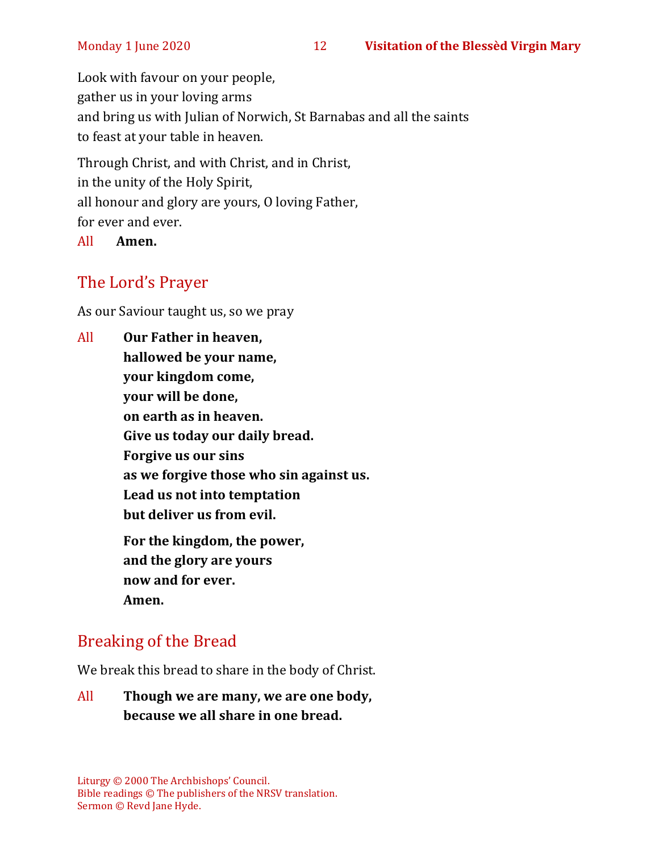Look with favour on your people, gather us in your loving arms and bring us with Julian of Norwich, St Barnabas and all the saints to feast at your table in heaven.

Through Christ, and with Christ, and in Christ, in the unity of the Holy Spirit, all honour and glory are yours, O loving Father, for ever and ever.

All **Amen.**

# The Lord's Prayer

As our Saviour taught us, so we pray

All **Our Father in heaven, hallowed be your name, your kingdom come, your will be done, on earth as in heaven. Give us today our daily bread. Forgive us our sins as we forgive those who sin against us. Lead us not into temptation but deliver us from evil. For the kingdom, the power, and the glory are yours now and for ever. Amen.**

# Breaking of the Bread

We break this bread to share in the body of Christ.

All **Though we are many, we are one body, because we all share in one bread.**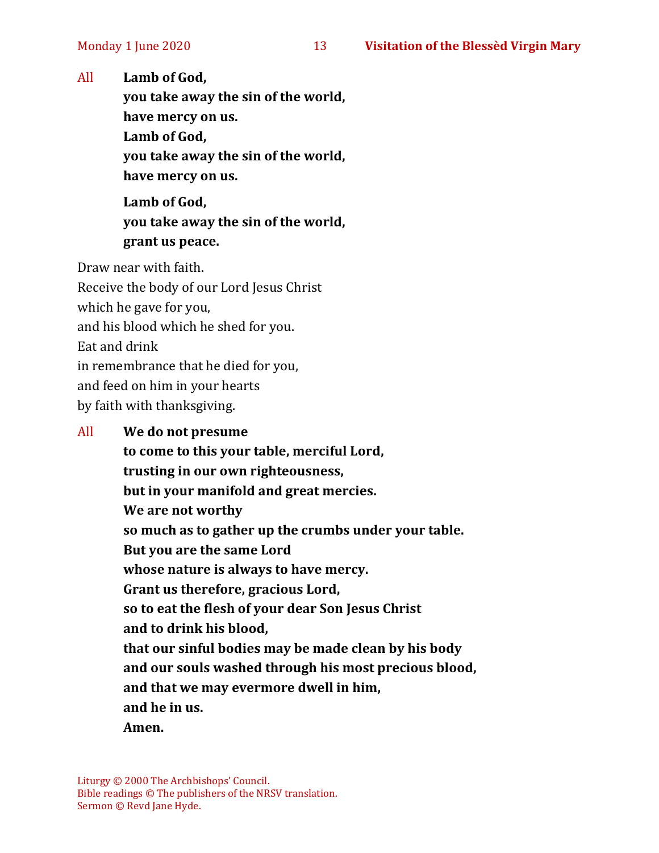All **Lamb of God,**

**you take away the sin of the world, have mercy on us. Lamb of God, you take away the sin of the world, have mercy on us.**

**Lamb of God, you take away the sin of the world, grant us peace.**

Draw near with faith.

Receive the body of our Lord Jesus Christ which he gave for you, and his blood which he shed for you. Eat and drink in remembrance that he died for you, and feed on him in your hearts by faith with thanksgiving.

#### All **We do not presume**

**to come to this your table, merciful Lord, trusting in our own righteousness, but in your manifold and great mercies. We are not worthy so much as to gather up the crumbs under your table. But you are the same Lord whose nature is always to have mercy. Grant us therefore, gracious Lord, so to eat the flesh of your dear Son Jesus Christ and to drink his blood, that our sinful bodies may be made clean by his body and our souls washed through his most precious blood, and that we may evermore dwell in him, and he in us. Amen.**